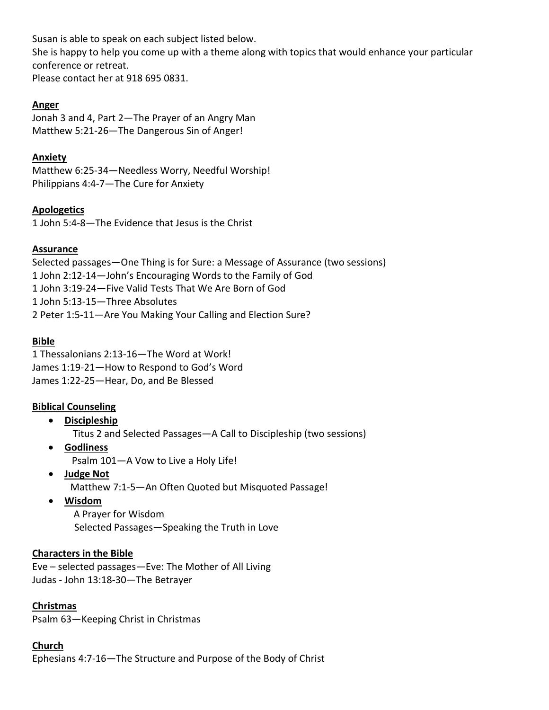Susan is able to speak on each subject listed below.

She is happy to help you come up with a theme along with topics that would enhance your particular conference or retreat.

Please contact her at 918 695 0831.

# **Anger**

Jonah 3 and 4, Part 2—The Prayer of an Angry Man Matthew 5:21-26—The Dangerous Sin of Anger!

# **Anxiety**

Matthew 6:25-34—Needless Worry, Needful Worship! Philippians 4:4-7—The Cure for Anxiety

# **Apologetics**

1 John 5:4-8—The Evidence that Jesus is the Christ

## **Assurance**

Selected passages—One Thing is for Sure: a Message of Assurance (two sessions) 1 John 2:12-14—John's Encouraging Words to the Family of God 1 John 3:19-24—Five Valid Tests That We Are Born of God 1 John 5:13-15—Three Absolutes 2 Peter 1:5-11—Are You Making Your Calling and Election Sure?

## **Bible**

1 Thessalonians 2:13-16—The Word at Work! James 1:19-21—How to Respond to God's Word James 1:22-25—Hear, Do, and Be Blessed

# **Biblical Counseling**

- **Discipleship** Titus 2 and Selected Passages—A Call to Discipleship (two sessions)
- **Godliness** Psalm 101—A Vow to Live a Holy Life!
- **Judge Not** Matthew 7:1-5—An Often Quoted but Misquoted Passage!
- **Wisdom**

 A Prayer for Wisdom Selected Passages—Speaking the Truth in Love

# **Characters in the Bible**

Eve – selected passages—Eve: The Mother of All Living Judas - John 13:18-30—The Betrayer

# **Christmas**

Psalm 63—Keeping Christ in Christmas

## **Church**

Ephesians 4:7-16—The Structure and Purpose of the Body of Christ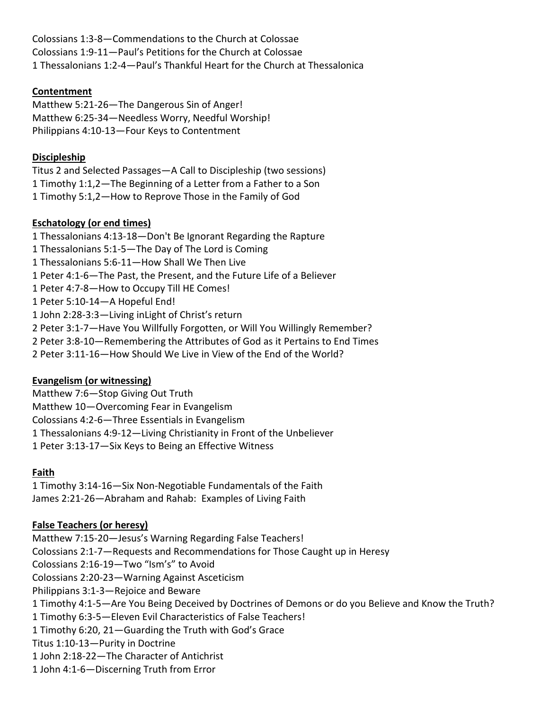Colossians 1:3-8—Commendations to the Church at Colossae Colossians 1:9-11—Paul's Petitions for the Church at Colossae 1 Thessalonians 1:2-4—Paul's Thankful Heart for the Church at Thessalonica

# **Contentment**

Matthew 5:21-26—The Dangerous Sin of Anger! Matthew 6:25-34—Needless Worry, Needful Worship! Philippians 4:10-13—Four Keys to Contentment

## **Discipleship**

Titus 2 and Selected Passages—A Call to Discipleship (two sessions) 1 Timothy 1:1,2—The Beginning of a Letter from a Father to a Son 1 Timothy 5:1,2—How to Reprove Those in the Family of God

## **Eschatology (or end times)**

1 Thessalonians 4:13-18—Don't Be Ignorant Regarding the Rapture 1 Thessalonians 5:1-5—The Day of The Lord is Coming 1 Thessalonians 5:6-11—How Shall We Then Live 1 Peter 4:1-6—The Past, the Present, and the Future Life of a Believer 1 Peter 4:7-8—How to Occupy Till HE Comes! 1 Peter 5:10-14—A Hopeful End! 1 John 2:28-3:3—Living inLight of Christ's return 2 Peter 3:1-7—Have You Willfully Forgotten, or Will You Willingly Remember? 2 Peter 3:8-10—Remembering the Attributes of God as it Pertains to End Times 2 Peter 3:11-16—How Should We Live in View of the End of the World?

## **Evangelism (or witnessing)**

Matthew 7:6—Stop Giving Out Truth Matthew 10—Overcoming Fear in Evangelism Colossians 4:2-6—Three Essentials in Evangelism 1 Thessalonians 4:9-12—Living Christianity in Front of the Unbeliever 1 Peter 3:13-17—Six Keys to Being an Effective Witness

# **Faith**

1 Timothy 3:14-16—Six Non-Negotiable Fundamentals of the Faith James 2:21-26—Abraham and Rahab: Examples of Living Faith

# **False Teachers (or heresy)**

Matthew 7:15-20—Jesus's Warning Regarding False Teachers! Colossians 2:1-7—Requests and Recommendations for Those Caught up in Heresy Colossians 2:16-19—Two "Ism's" to Avoid Colossians 2:20-23—Warning Against Asceticism Philippians 3:1-3—Rejoice and Beware 1 Timothy 4:1-5—Are You Being Deceived by Doctrines of Demons or do you Believe and Know the Truth? 1 Timothy 6:3-5—Eleven Evil Characteristics of False Teachers! 1 Timothy 6:20, 21—Guarding the Truth with God's Grace Titus 1:10-13—Purity in Doctrine 1 John 2:18-22—The Character of Antichrist 1 John 4:1-6—Discerning Truth from Error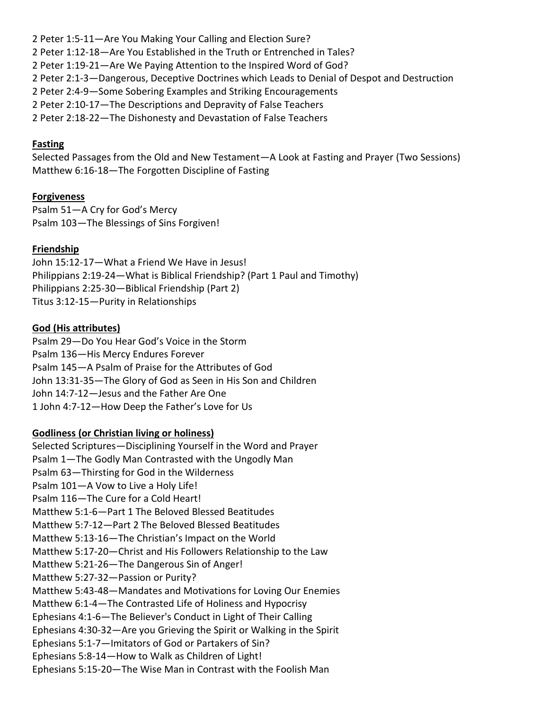2 Peter 1:5-11—Are You Making Your Calling and Election Sure? 2 Peter 1:12-18—Are You Established in the Truth or Entrenched in Tales? 2 Peter 1:19-21—Are We Paying Attention to the Inspired Word of God? 2 Peter 2:1-3—Dangerous, Deceptive Doctrines which Leads to Denial of Despot and Destruction 2 Peter 2:4-9—Some Sobering Examples and Striking Encouragements 2 Peter 2:10-17—The Descriptions and Depravity of False Teachers 2 Peter 2:18-22—The Dishonesty and Devastation of False Teachers

#### **Fasting**

Selected Passages from the Old and New Testament—A Look at Fasting and Prayer (Two Sessions) Matthew 6:16-18—The Forgotten Discipline of Fasting

### **Forgiveness**

Psalm 51—A Cry for God's Mercy Psalm 103—The Blessings of Sins Forgiven!

### **Friendship**

John 15:12-17—What a Friend We Have in Jesus! Philippians 2:19-24—What is Biblical Friendship? (Part 1 Paul and Timothy) Philippians 2:25-30—Biblical Friendship (Part 2) Titus 3:12-15—Purity in Relationships

### **God (His attributes)**

Psalm 29—Do You Hear God's Voice in the Storm Psalm 136—His Mercy Endures Forever Psalm 145—A Psalm of Praise for the Attributes of God John 13:31-35—The Glory of God as Seen in His Son and Children John 14:7-12—Jesus and the Father Are One 1 John 4:7-12—How Deep the Father's Love for Us

## **Godliness (or Christian living or holiness)**

Selected Scriptures—Disciplining Yourself in the Word and Prayer Psalm 1—The Godly Man Contrasted with the Ungodly Man Psalm 63—Thirsting for God in the Wilderness Psalm 101—A Vow to Live a Holy Life! Psalm 116—The Cure for a Cold Heart! Matthew 5:1-6—Part 1 The Beloved Blessed Beatitudes Matthew 5:7-12—Part 2 The Beloved Blessed Beatitudes Matthew 5:13-16—The Christian's Impact on the World Matthew 5:17-20—Christ and His Followers Relationship to the Law Matthew 5:21-26—The Dangerous Sin of Anger! Matthew 5:27-32—Passion or Purity? Matthew 5:43-48—Mandates and Motivations for Loving Our Enemies Matthew 6:1-4—The Contrasted Life of Holiness and Hypocrisy Ephesians 4:1-6—The Believer's Conduct in Light of Their Calling Ephesians 4:30-32—Are you Grieving the Spirit or Walking in the Spirit Ephesians 5:1-7—Imitators of God or Partakers of Sin? Ephesians 5:8-14—How to Walk as Children of Light! Ephesians 5:15-20—The Wise Man in Contrast with the Foolish Man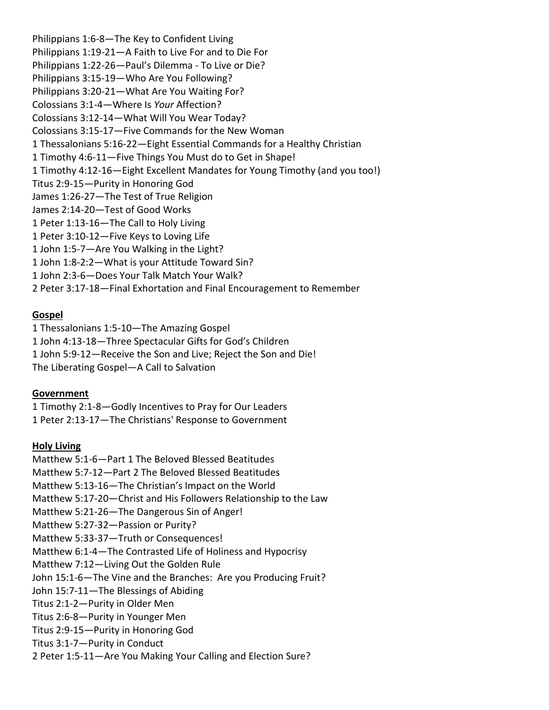Philippians 1:6-8—The Key to Confident Living Philippians 1:19-21—A Faith to Live For and to Die For Philippians 1:22-26—Paul's Dilemma - To Live or Die? Philippians 3:15-19—Who Are You Following? Philippians 3:20-21—What Are You Waiting For? Colossians 3:1-4—Where Is *Your* Affection? Colossians 3:12-14—What Will You Wear Today? Colossians 3:15-17—Five Commands for the New Woman 1 Thessalonians 5:16-22—Eight Essential Commands for a Healthy Christian 1 Timothy 4:6-11—Five Things You Must do to Get in Shape! 1 Timothy 4:12-16—Eight Excellent Mandates for Young Timothy (and you too!) Titus 2:9-15—Purity in Honoring God James 1:26-27—The Test of True Religion James 2:14-20—Test of Good Works 1 Peter 1:13-16—The Call to Holy Living 1 Peter 3:10-12—Five Keys to Loving Life 1 John 1:5-7—Are You Walking in the Light? 1 John 1:8-2:2—What is your Attitude Toward Sin? 1 John 2:3-6—Does Your Talk Match Your Walk? 2 Peter 3:17-18—Final Exhortation and Final Encouragement to Remember

#### **Gospel**

1 Thessalonians 1:5-10—The Amazing Gospel 1 John 4:13-18—Three Spectacular Gifts for God's Children 1 John 5:9-12—Receive the Son and Live; Reject the Son and Die! The Liberating Gospel—A Call to Salvation

#### **Government**

1 Timothy 2:1-8—Godly Incentives to Pray for Our Leaders 1 Peter 2:13-17—The Christians' Response to Government

## **Holy Living**

Matthew 5:1-6—Part 1 The Beloved Blessed Beatitudes Matthew 5:7-12—Part 2 The Beloved Blessed Beatitudes Matthew 5:13-16—The Christian's Impact on the World Matthew 5:17-20—Christ and His Followers Relationship to the Law Matthew 5:21-26—The Dangerous Sin of Anger! Matthew 5:27-32—Passion or Purity? Matthew 5:33-37—Truth or Consequences! Matthew 6:1-4—The Contrasted Life of Holiness and Hypocrisy Matthew 7:12—Living Out the Golden Rule John 15:1-6—The Vine and the Branches: Are you Producing Fruit? John 15:7-11—The Blessings of Abiding Titus 2:1-2—Purity in Older Men Titus 2:6-8—Purity in Younger Men Titus 2:9-15—Purity in Honoring God Titus 3:1-7—Purity in Conduct 2 Peter 1:5-11—Are You Making Your Calling and Election Sure?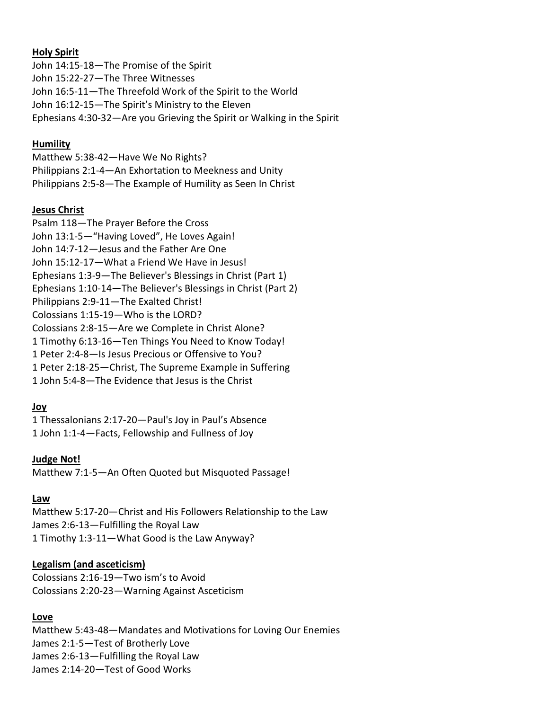#### **Holy Spirit**

John 14:15-18—The Promise of the Spirit John 15:22-27—The Three Witnesses John 16:5-11—The Threefold Work of the Spirit to the World John 16:12-15—The Spirit's Ministry to the Eleven Ephesians 4:30-32—Are you Grieving the Spirit or Walking in the Spirit

### **Humility**

Matthew 5:38-42—Have We No Rights? Philippians 2:1-4—An Exhortation to Meekness and Unity Philippians 2:5-8—The Example of Humility as Seen In Christ

### **Jesus Christ**

Psalm 118—The Prayer Before the Cross John 13:1-5—"Having Loved", He Loves Again! John 14:7-12—Jesus and the Father Are One John 15:12-17—What a Friend We Have in Jesus! Ephesians 1:3-9—The Believer's Blessings in Christ (Part 1) Ephesians 1:10-14—The Believer's Blessings in Christ (Part 2) Philippians 2:9-11—The Exalted Christ! Colossians 1:15-19—Who is the LORD? Colossians 2:8-15—Are we Complete in Christ Alone? 1 Timothy 6:13-16—Ten Things You Need to Know Today! 1 Peter 2:4-8—Is Jesus Precious or Offensive to You? 1 Peter 2:18-25—Christ, The Supreme Example in Suffering 1 John 5:4-8—The Evidence that Jesus is the Christ

## **Joy**

1 Thessalonians 2:17-20—Paul's Joy in Paul's Absence 1 John 1:1-4—Facts, Fellowship and Fullness of Joy

#### **Judge Not!**

Matthew 7:1-5—An Often Quoted but Misquoted Passage!

#### **Law**

Matthew 5:17-20—Christ and His Followers Relationship to the Law James 2:6-13—Fulfilling the Royal Law 1 Timothy 1:3-11—What Good is the Law Anyway?

## **Legalism (and asceticism)**

Colossians 2:16-19—Two ism's to Avoid Colossians 2:20-23—Warning Against Asceticism

#### **Love**

Matthew 5:43-48—Mandates and Motivations for Loving Our Enemies James 2:1-5—Test of Brotherly Love James 2:6-13—Fulfilling the Royal Law James 2:14-20—Test of Good Works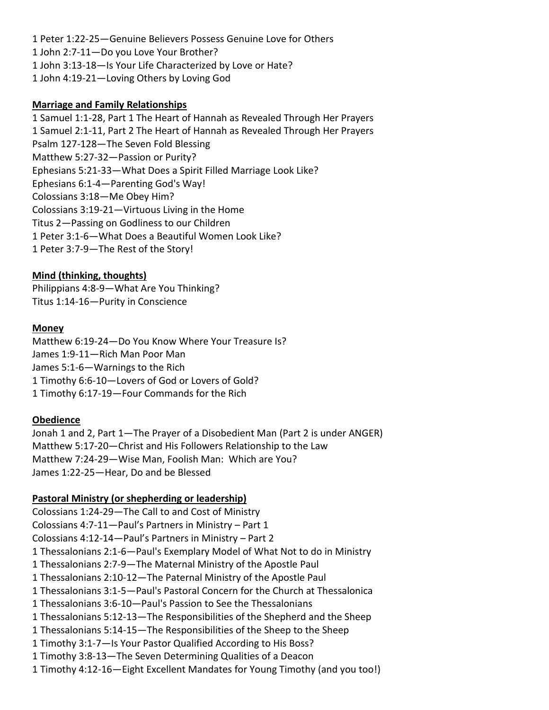1 Peter 1:22-25—Genuine Believers Possess Genuine Love for Others 1 John 2:7-11—Do you Love Your Brother? 1 John 3:13-18—Is Your Life Characterized by Love or Hate? 1 John 4:19-21—Loving Others by Loving God

### **Marriage and Family Relationships**

1 Samuel 1:1-28, Part 1 The Heart of Hannah as Revealed Through Her Prayers 1 Samuel 2:1-11, Part 2 The Heart of Hannah as Revealed Through Her Prayers Psalm 127-128—The Seven Fold Blessing Matthew 5:27-32—Passion or Purity? Ephesians 5:21-33—What Does a Spirit Filled Marriage Look Like? Ephesians 6:1-4—Parenting God's Way! Colossians 3:18—Me Obey Him? Colossians 3:19-21—Virtuous Living in the Home Titus 2—Passing on Godliness to our Children 1 Peter 3:1-6—What Does a Beautiful Women Look Like? 1 Peter 3:7-9—The Rest of the Story!

## **Mind (thinking, thoughts)**

Philippians 4:8-9—What Are You Thinking? Titus 1:14-16—Purity in Conscience

## **Money**

Matthew 6:19-24—Do You Know Where Your Treasure Is? James 1:9-11—Rich Man Poor Man James 5:1-6—Warnings to the Rich 1 Timothy 6:6-10—Lovers of God or Lovers of Gold? 1 Timothy 6:17-19—Four Commands for the Rich

#### **Obedience**

Jonah 1 and 2, Part 1—The Prayer of a Disobedient Man (Part 2 is under ANGER) Matthew 5:17-20—Christ and His Followers Relationship to the Law Matthew 7:24-29—Wise Man, Foolish Man: Which are You? James 1:22-25—Hear, Do and be Blessed

#### **Pastoral Ministry (or shepherding or leadership)**

Colossians 1:24-29—The Call to and Cost of Ministry Colossians 4:7-11—Paul's Partners in Ministry – Part 1 Colossians 4:12-14—Paul's Partners in Ministry – Part 2 1 Thessalonians 2:1-6—Paul's Exemplary Model of What Not to do in Ministry 1 Thessalonians 2:7-9—The Maternal Ministry of the Apostle Paul 1 Thessalonians 2:10-12—The Paternal Ministry of the Apostle Paul 1 Thessalonians 3:1-5—Paul's Pastoral Concern for the Church at Thessalonica 1 Thessalonians 3:6-10—Paul's Passion to See the Thessalonians 1 Thessalonians 5:12-13—The Responsibilities of the Shepherd and the Sheep 1 Thessalonians 5:14-15—The Responsibilities of the Sheep to the Sheep 1 Timothy 3:1-7—Is Your Pastor Qualified According to His Boss? 1 Timothy 3:8-13—The Seven Determining Qualities of a Deacon 1 Timothy 4:12-16—Eight Excellent Mandates for Young Timothy (and you too!)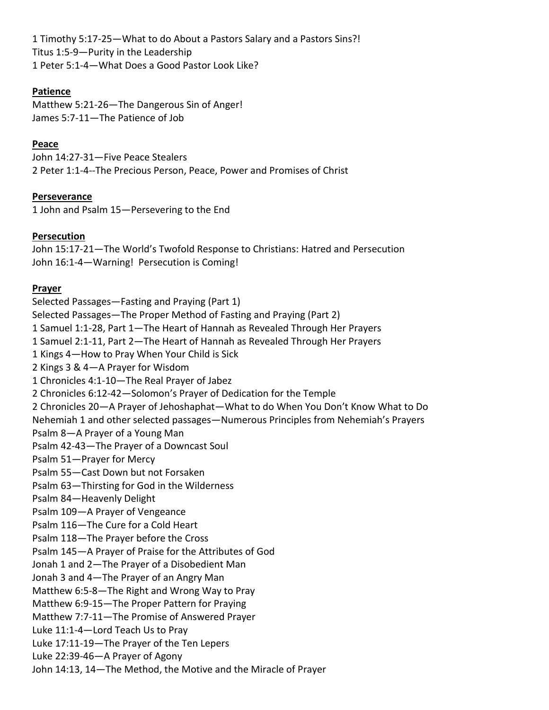1 Timothy 5:17-25—What to do About a Pastors Salary and a Pastors Sins?! Titus 1:5-9—Purity in the Leadership 1 Peter 5:1-4—What Does a Good Pastor Look Like?

## **Patience**

Matthew 5:21-26—The Dangerous Sin of Anger! James 5:7-11—The Patience of Job

## **Peace**

John 14:27-31—Five Peace Stealers 2 Peter 1:1-4--The Precious Person, Peace, Power and Promises of Christ

## **Perseverance**

1 John and Psalm 15—Persevering to the End

## **Persecution**

John 15:17-21—The World's Twofold Response to Christians: Hatred and Persecution John 16:1-4—Warning! Persecution is Coming!

## **Prayer**

Selected Passages—Fasting and Praying (Part 1) Selected Passages—The Proper Method of Fasting and Praying (Part 2) 1 Samuel 1:1-28, Part 1—The Heart of Hannah as Revealed Through Her Prayers 1 Samuel 2:1-11, Part 2—The Heart of Hannah as Revealed Through Her Prayers 1 Kings 4—How to Pray When Your Child is Sick 2 Kings 3 & 4—A Prayer for Wisdom 1 Chronicles 4:1-10—The Real Prayer of Jabez 2 Chronicles 6:12-42—Solomon's Prayer of Dedication for the Temple 2 Chronicles 20—A Prayer of Jehoshaphat—What to do When You Don't Know What to Do Nehemiah 1 and other selected passages—Numerous Principles from Nehemiah's Prayers Psalm 8—A Prayer of a Young Man Psalm 42-43—The Prayer of a Downcast Soul Psalm 51—Prayer for Mercy Psalm 55—Cast Down but not Forsaken Psalm 63—Thirsting for God in the Wilderness Psalm 84—Heavenly Delight Psalm 109—A Prayer of Vengeance Psalm 116—The Cure for a Cold Heart Psalm 118—The Prayer before the Cross Psalm 145—A Prayer of Praise for the Attributes of God Jonah 1 and 2—The Prayer of a Disobedient Man Jonah 3 and 4—The Prayer of an Angry Man Matthew 6:5-8—The Right and Wrong Way to Pray Matthew 6:9-15—The Proper Pattern for Praying Matthew 7:7-11—The Promise of Answered Prayer Luke 11:1-4—Lord Teach Us to Pray Luke 17:11-19—The Prayer of the Ten Lepers Luke 22:39-46—A Prayer of Agony John 14:13, 14—The Method, the Motive and the Miracle of Prayer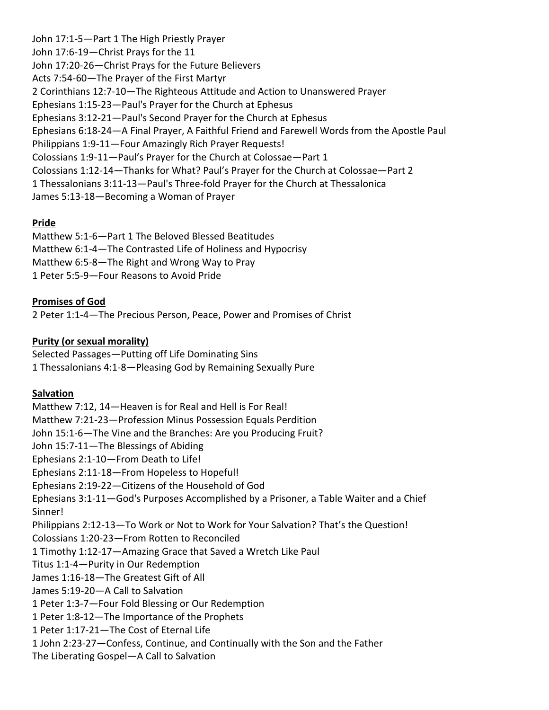John 17:1-5—Part 1 The High Priestly Prayer John 17:6-19—Christ Prays for the 11 John 17:20-26—Christ Prays for the Future Believers Acts 7:54-60—The Prayer of the First Martyr 2 Corinthians 12:7-10—The Righteous Attitude and Action to Unanswered Prayer Ephesians 1:15-23—Paul's Prayer for the Church at Ephesus Ephesians 3:12-21—Paul's Second Prayer for the Church at Ephesus Ephesians 6:18-24—A Final Prayer, A Faithful Friend and Farewell Words from the Apostle Paul Philippians 1:9-11—Four Amazingly Rich Prayer Requests! Colossians 1:9-11—Paul's Prayer for the Church at Colossae—Part 1 Colossians 1:12-14—Thanks for What? Paul's Prayer for the Church at Colossae—Part 2 1 Thessalonians 3:11-13—Paul's Three-fold Prayer for the Church at Thessalonica James 5:13-18—Becoming a Woman of Prayer

## **Pride**

Matthew 5:1-6—Part 1 The Beloved Blessed Beatitudes Matthew 6:1-4—The Contrasted Life of Holiness and Hypocrisy Matthew 6:5-8—The Right and Wrong Way to Pray 1 Peter 5:5-9—Four Reasons to Avoid Pride

## **Promises of God**

2 Peter 1:1-4—The Precious Person, Peace, Power and Promises of Christ

### **Purity (or sexual morality)**

Selected Passages—Putting off Life Dominating Sins 1 Thessalonians 4:1-8—Pleasing God by Remaining Sexually Pure

#### **Salvation**

Matthew 7:12, 14—Heaven is for Real and Hell is For Real! Matthew 7:21-23—Profession Minus Possession Equals Perdition John 15:1-6—The Vine and the Branches: Are you Producing Fruit? John 15:7-11—The Blessings of Abiding Ephesians 2:1-10—From Death to Life! Ephesians 2:11-18—From Hopeless to Hopeful! Ephesians 2:19-22—Citizens of the Household of God Ephesians 3:1-11—God's Purposes Accomplished by a Prisoner, a Table Waiter and a Chief Sinner! Philippians 2:12-13—To Work or Not to Work for Your Salvation? That's the Question! Colossians 1:20-23—From Rotten to Reconciled 1 Timothy 1:12-17—Amazing Grace that Saved a Wretch Like Paul Titus 1:1-4—Purity in Our Redemption James 1:16-18—The Greatest Gift of All James 5:19-20—A Call to Salvation 1 Peter 1:3-7—Four Fold Blessing or Our Redemption 1 Peter 1:8-12—The Importance of the Prophets 1 Peter 1:17-21—The Cost of Eternal Life 1 John 2:23-27—Confess, Continue, and Continually with the Son and the Father

The Liberating Gospel—A Call to Salvation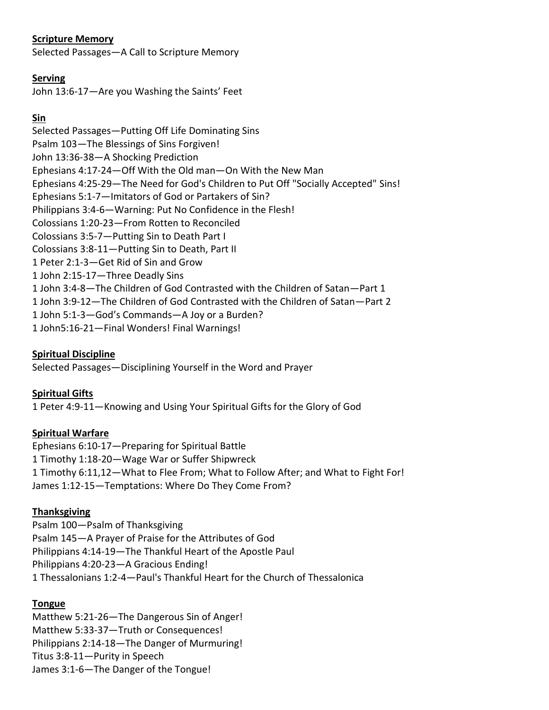## **Scripture Memory**

Selected Passages—A Call to Scripture Memory

#### **Serving**

John 13:6-17—Are you Washing the Saints' Feet

## **Sin**

Selected Passages—Putting Off Life Dominating Sins Psalm 103—The Blessings of Sins Forgiven! John 13:36-38—A Shocking Prediction Ephesians 4:17-24—Off With the Old man—On With the New Man Ephesians 4:25-29—The Need for God's Children to Put Off "Socially Accepted" Sins! Ephesians 5:1-7—Imitators of God or Partakers of Sin? Philippians 3:4-6—Warning: Put No Confidence in the Flesh! Colossians 1:20-23—From Rotten to Reconciled Colossians 3:5-7—Putting Sin to Death Part I Colossians 3:8-11—Putting Sin to Death, Part II 1 Peter 2:1-3—Get Rid of Sin and Grow 1 John 2:15-17—Three Deadly Sins 1 John 3:4-8—The Children of God Contrasted with the Children of Satan—Part 1 1 John 3:9-12—The Children of God Contrasted with the Children of Satan—Part 2 1 John 5:1-3—God's Commands—A Joy or a Burden? 1 John5:16-21—Final Wonders! Final Warnings!

## **Spiritual Discipline**

Selected Passages—Disciplining Yourself in the Word and Prayer

## **Spiritual Gifts**

1 Peter 4:9-11—Knowing and Using Your Spiritual Gifts for the Glory of God

## **Spiritual Warfare**

Ephesians 6:10-17—Preparing for Spiritual Battle 1 Timothy 1:18-20—Wage War or Suffer Shipwreck 1 Timothy 6:11,12—What to Flee From; What to Follow After; and What to Fight For! James 1:12-15—Temptations: Where Do They Come From?

## **Thanksgiving**

Psalm 100—Psalm of Thanksgiving Psalm 145—A Prayer of Praise for the Attributes of God Philippians 4:14-19—The Thankful Heart of the Apostle Paul Philippians 4:20-23—A Gracious Ending! 1 Thessalonians 1:2-4—Paul's Thankful Heart for the Church of Thessalonica

## **Tongue**

Matthew 5:21-26—The Dangerous Sin of Anger! Matthew 5:33-37—Truth or Consequences! Philippians 2:14-18—The Danger of Murmuring! Titus 3:8-11—Purity in Speech James 3:1-6—The Danger of the Tongue!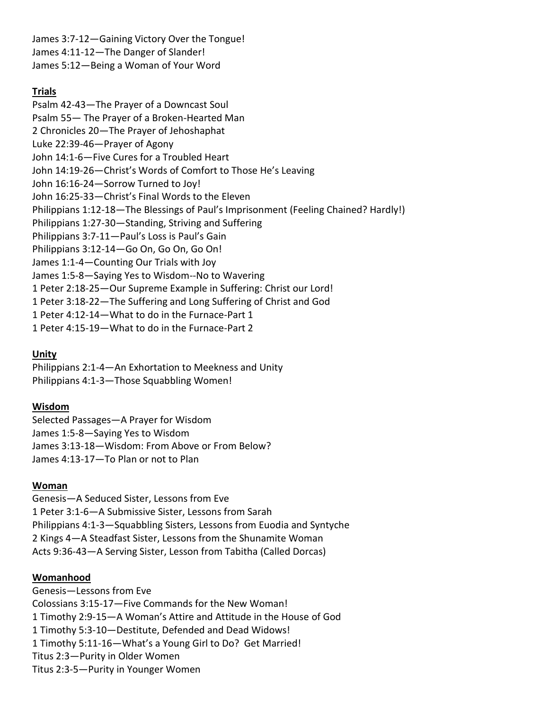James 3:7-12—Gaining Victory Over the Tongue! James 4:11-12—The Danger of Slander! James 5:12—Being a Woman of Your Word

## **Trials**

Psalm 42-43—The Prayer of a Downcast Soul Psalm 55— The Prayer of a Broken-Hearted Man 2 Chronicles 20—The Prayer of Jehoshaphat Luke 22:39-46—Prayer of Agony John 14:1-6—Five Cures for a Troubled Heart John 14:19-26—Christ's Words of Comfort to Those He's Leaving John 16:16-24—Sorrow Turned to Joy! John 16:25-33—Christ's Final Words to the Eleven Philippians 1:12-18—The Blessings of Paul's Imprisonment (Feeling Chained? Hardly!) Philippians 1:27-30—Standing, Striving and Suffering Philippians 3:7-11—Paul's Loss is Paul's Gain Philippians 3:12-14—Go On, Go On, Go On! James 1:1-4—Counting Our Trials with Joy James 1:5-8—Saying Yes to Wisdom--No to Wavering 1 Peter 2:18-25—Our Supreme Example in Suffering: Christ our Lord! 1 Peter 3:18-22—The Suffering and Long Suffering of Christ and God 1 Peter 4:12-14—What to do in the Furnace-Part 1 1 Peter 4:15-19—What to do in the Furnace-Part 2

## **Unity**

Philippians 2:1-4—An Exhortation to Meekness and Unity Philippians 4:1-3—Those Squabbling Women!

## **Wisdom**

Selected Passages—A Prayer for Wisdom James 1:5-8—Saying Yes to Wisdom James 3:13-18—Wisdom: From Above or From Below? James 4:13-17—To Plan or not to Plan

## **Woman**

Genesis—A Seduced Sister, Lessons from Eve 1 Peter 3:1-6—A Submissive Sister, Lessons from Sarah Philippians 4:1-3—Squabbling Sisters, Lessons from Euodia and Syntyche 2 Kings 4—A Steadfast Sister, Lessons from the Shunamite Woman Acts 9:36-43—A Serving Sister, Lesson from Tabitha (Called Dorcas)

## **Womanhood**

Genesis—Lessons from Eve Colossians 3:15-17—Five Commands for the New Woman! 1 Timothy 2:9-15—A Woman's Attire and Attitude in the House of God 1 Timothy 5:3-10—Destitute, Defended and Dead Widows! 1 Timothy 5:11-16—What's a Young Girl to Do? Get Married! Titus 2:3—Purity in Older Women Titus 2:3-5—Purity in Younger Women